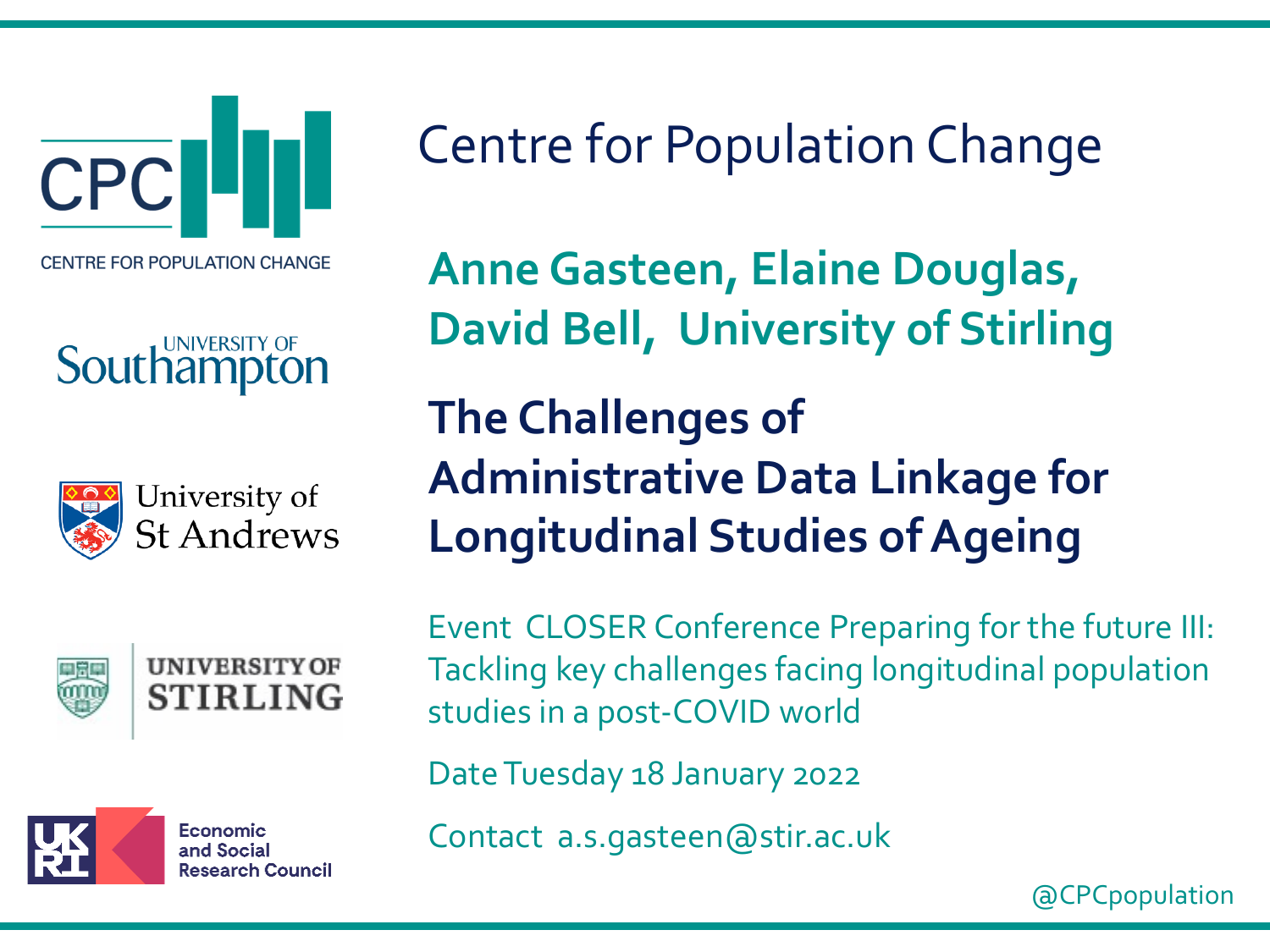**CPC CENTRE FOR POPULATION CHANGE** 

#### UNIVERSITY OF Southamp





**UNIVERSITY OF STIRLING** 



Economic and Social **Research Council**  Centre for Population Change

**Anne Gasteen, Elaine Douglas, David Bell, University of Stirling**

**The Challenges of Administrative Data Linkage for Longitudinal Studies of Ageing**

Event CLOSER Conference Preparing for the future III: Tackling key challenges facing longitudinal population studies in a post-COVID world

Date Tuesday 18 January 2022

Contact a.s.gasteen@stir.ac.uk

@CPCpopulation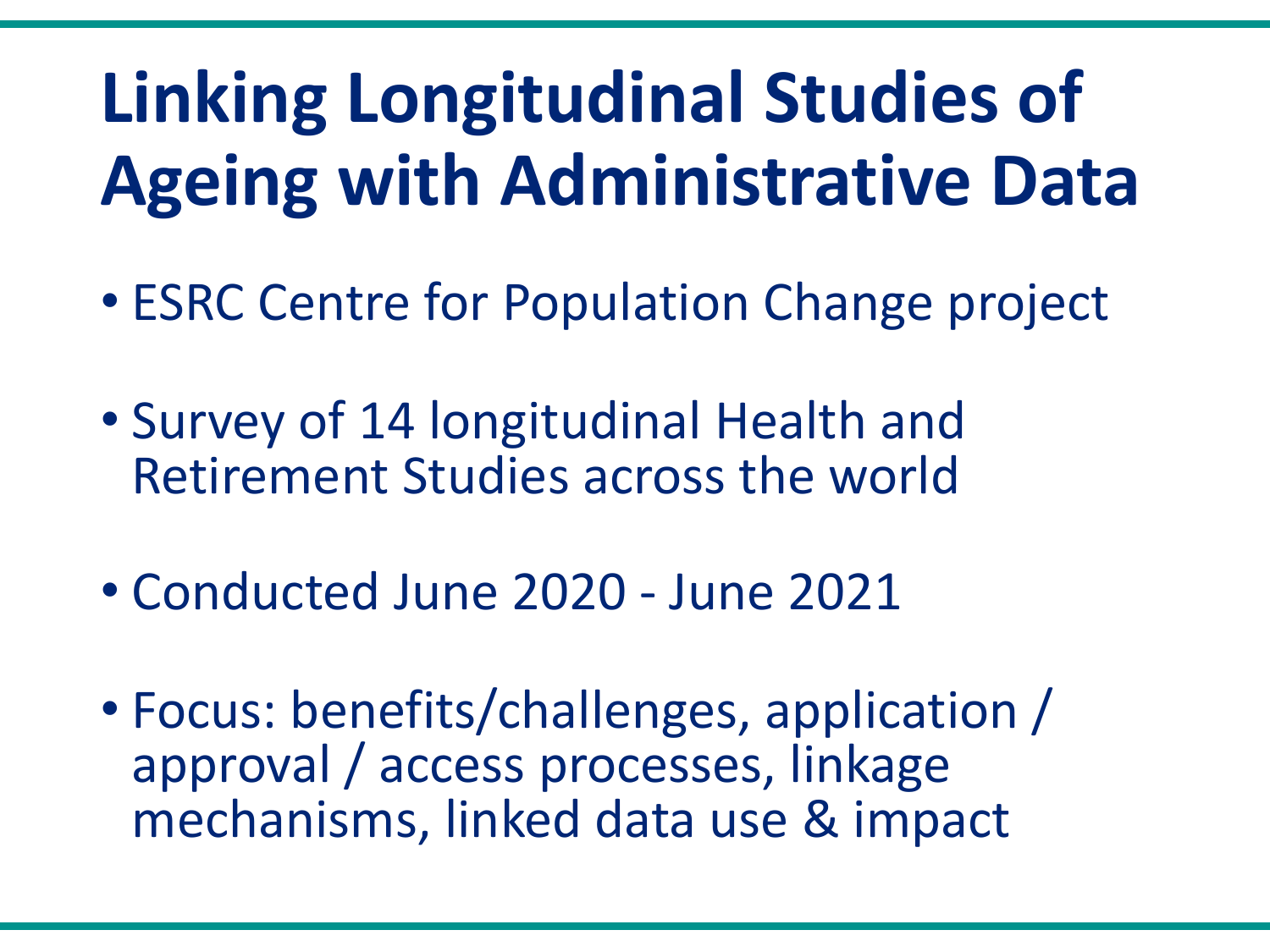# **Linking Longitudinal Studies of Ageing with Administrative Data**

- ESRC Centre for Population Change project
- Survey of 14 longitudinal Health and Retirement Studies across the world
- Conducted June 2020 June 2021
- Focus: benefits/challenges, application / approval / access processes, linkage mechanisms, linked data use & impact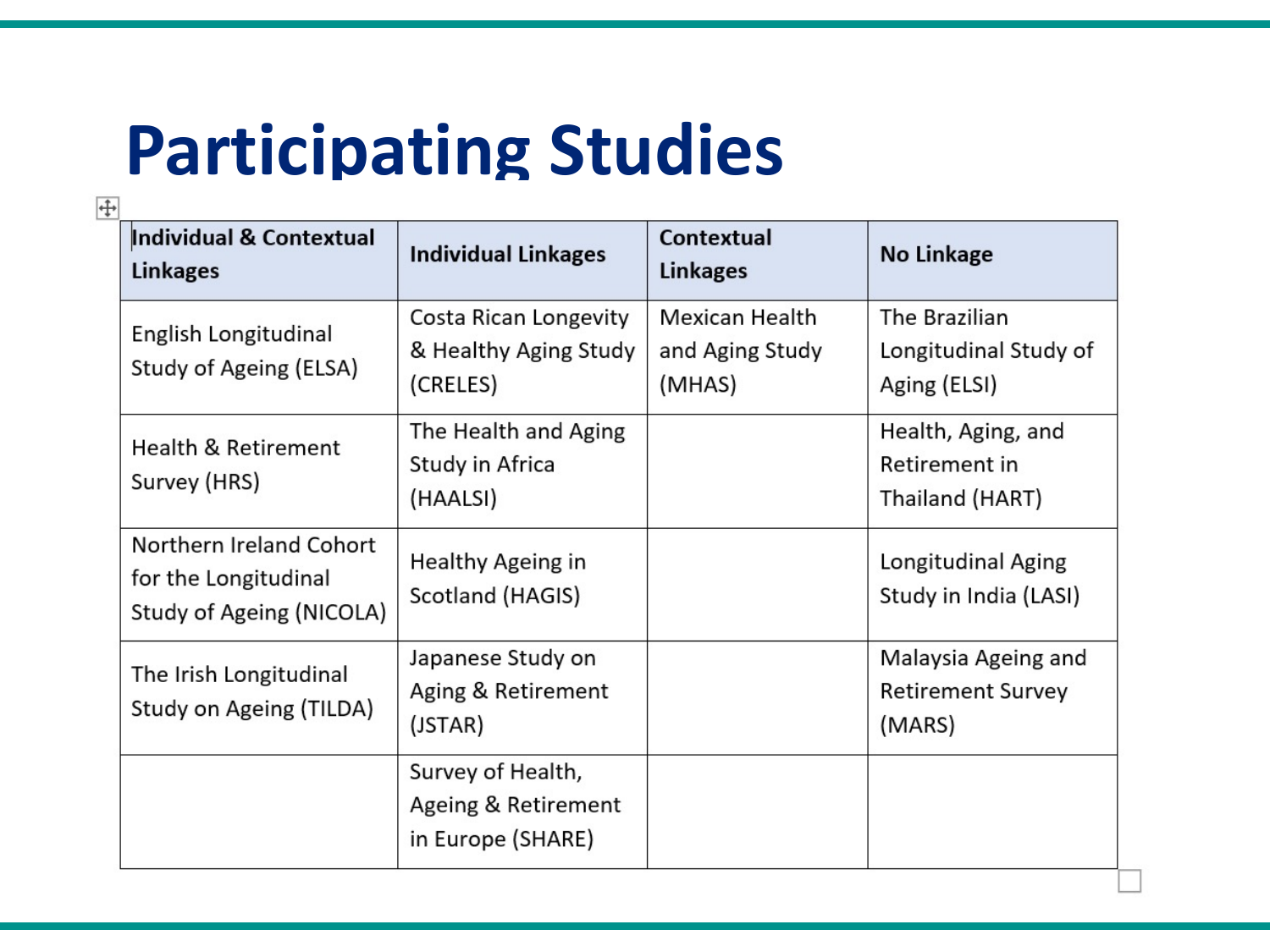### **Participating Studies**

| $\overline{+}$ |                                                                             |                                                               |                                             |                                                           |  |
|----------------|-----------------------------------------------------------------------------|---------------------------------------------------------------|---------------------------------------------|-----------------------------------------------------------|--|
|                | Individual & Contextual<br><b>Linkages</b>                                  | <b>Individual Linkages</b>                                    | <b>Contextual</b><br><b>Linkages</b>        | <b>No Linkage</b>                                         |  |
|                | English Longitudinal<br>Study of Ageing (ELSA)                              | Costa Rican Longevity<br>& Healthy Aging Study<br>(CRELES)    | Mexican Health<br>and Aging Study<br>(MHAS) | The Brazilian<br>Longitudinal Study of<br>Aging (ELSI)    |  |
|                | <b>Health &amp; Retirement</b><br>Survey (HRS)                              | The Health and Aging<br>Study in Africa<br>(HAALSI)           |                                             | Health, Aging, and<br>Retirement in<br>Thailand (HART)    |  |
|                | Northern Ireland Cohort<br>for the Longitudinal<br>Study of Ageing (NICOLA) | Healthy Ageing in<br>Scotland (HAGIS)                         |                                             | Longitudinal Aging<br>Study in India (LASI)               |  |
|                | The Irish Longitudinal<br>Study on Ageing (TILDA)                           | Japanese Study on<br>Aging & Retirement<br>(JSTAR)            |                                             | Malaysia Ageing and<br><b>Retirement Survey</b><br>(MARS) |  |
|                |                                                                             | Survey of Health,<br>Ageing & Retirement<br>in Europe (SHARE) |                                             |                                                           |  |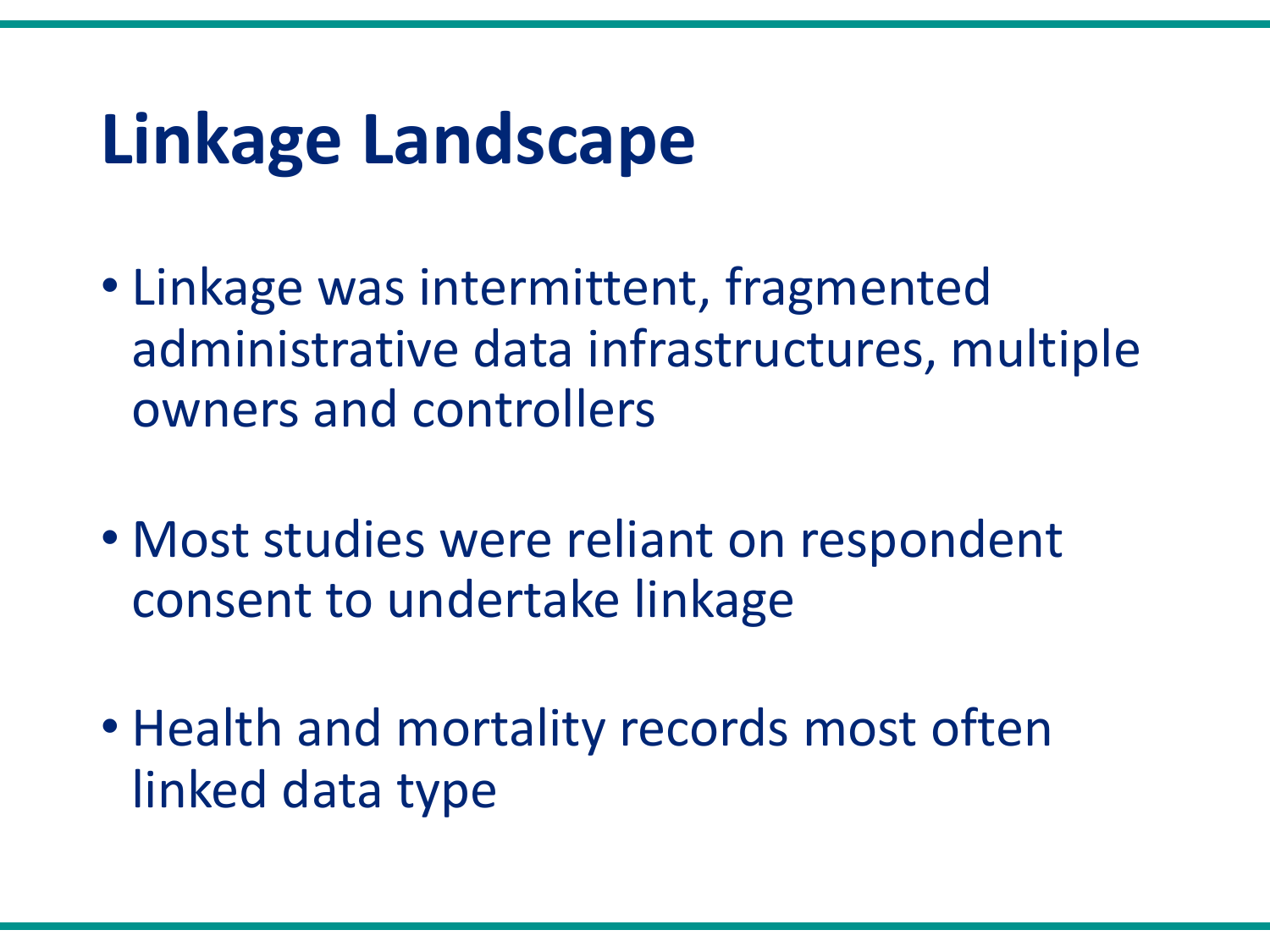#### **Linkage Landscape**

- Linkage was intermittent, fragmented administrative data infrastructures, multiple owners and controllers
- Most studies were reliant on respondent consent to undertake linkage
- Health and mortality records most often linked data type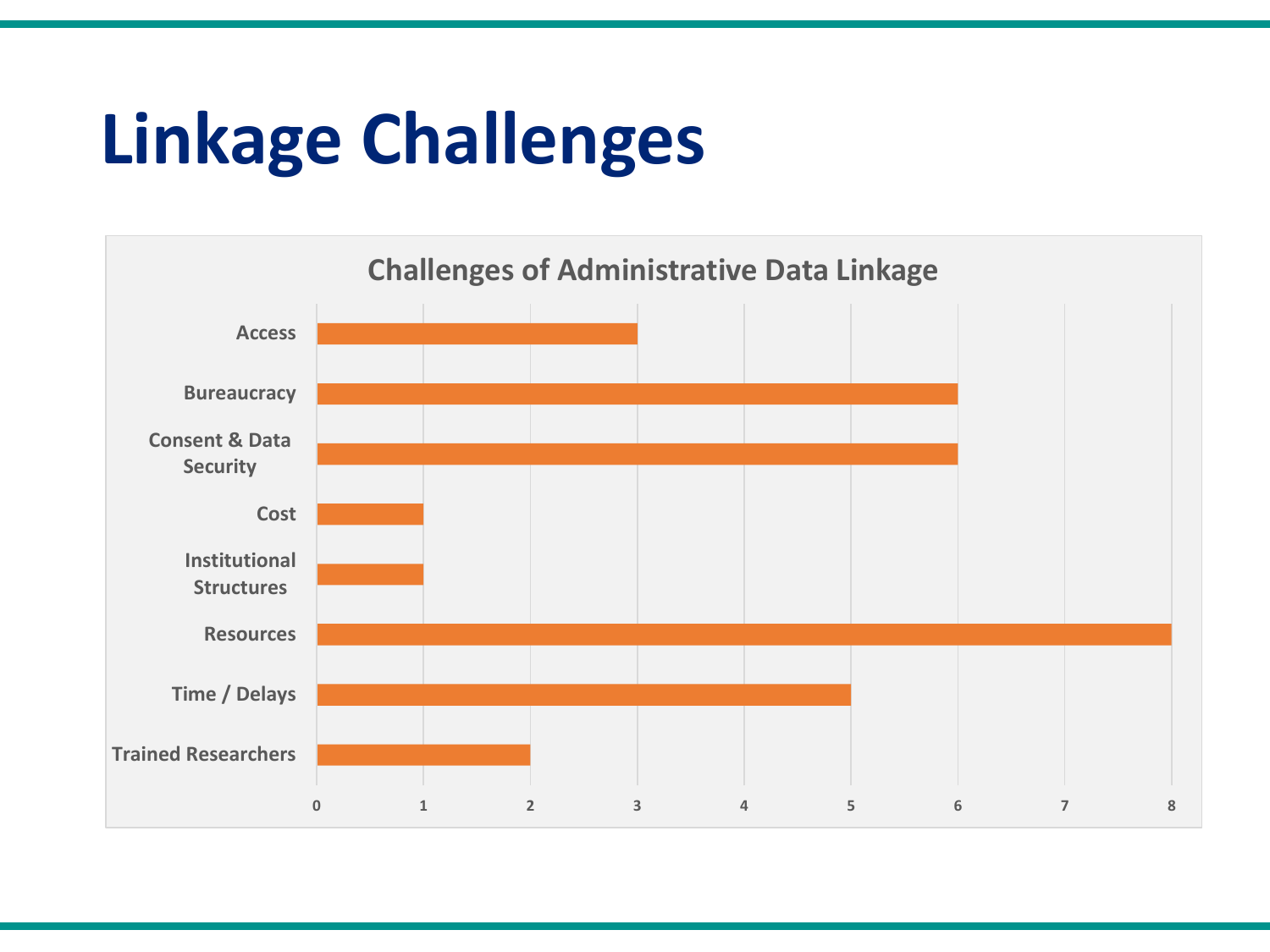# **Linkage Challenges**

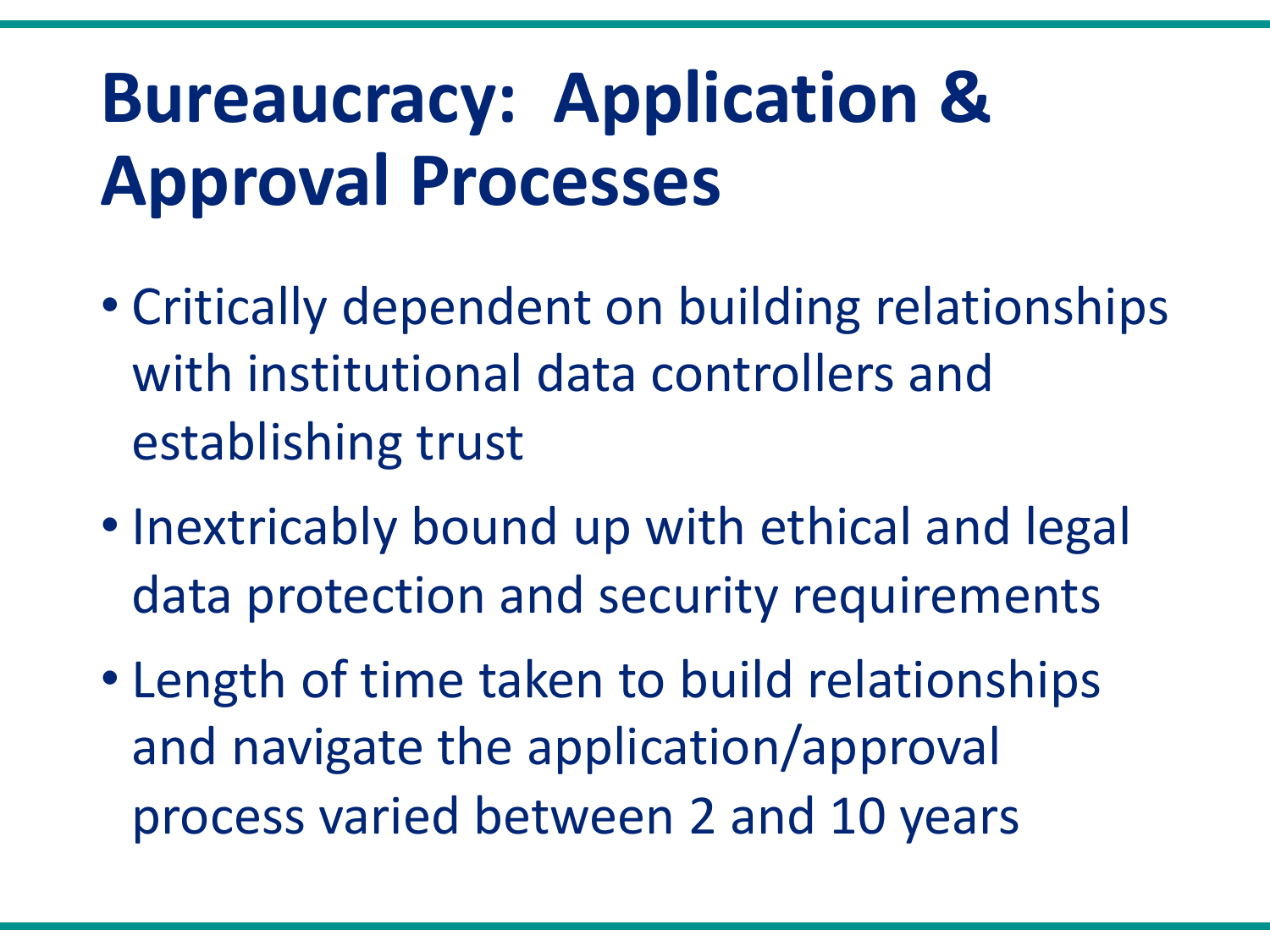## **Bureaucracy: Application & Approval Processes**

- Critically dependent on building relationships with institutional data controllers and establishing trust
- Inextricably bound up with ethical and legal data protection and security requirements
- Length of time taken to build relationships and navigate the application/approval process varied between 2 and 10 years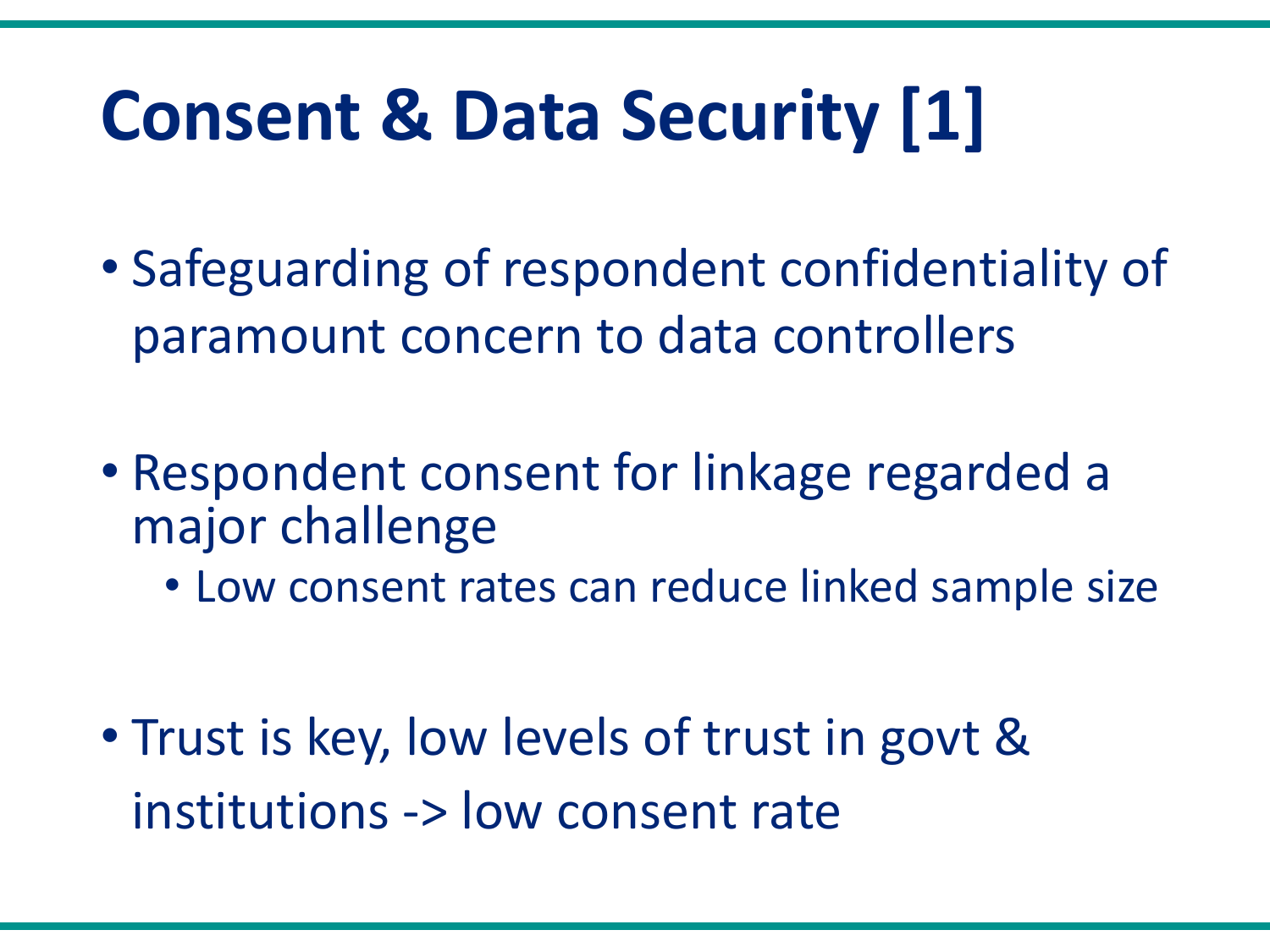# **Consent & Data Security [1]**

- Safeguarding of respondent confidentiality of paramount concern to data controllers
- Respondent consent for linkage regarded a major challenge
	- Low consent rates can reduce linked sample size

• Trust is key, low levels of trust in govt & institutions -> low consent rate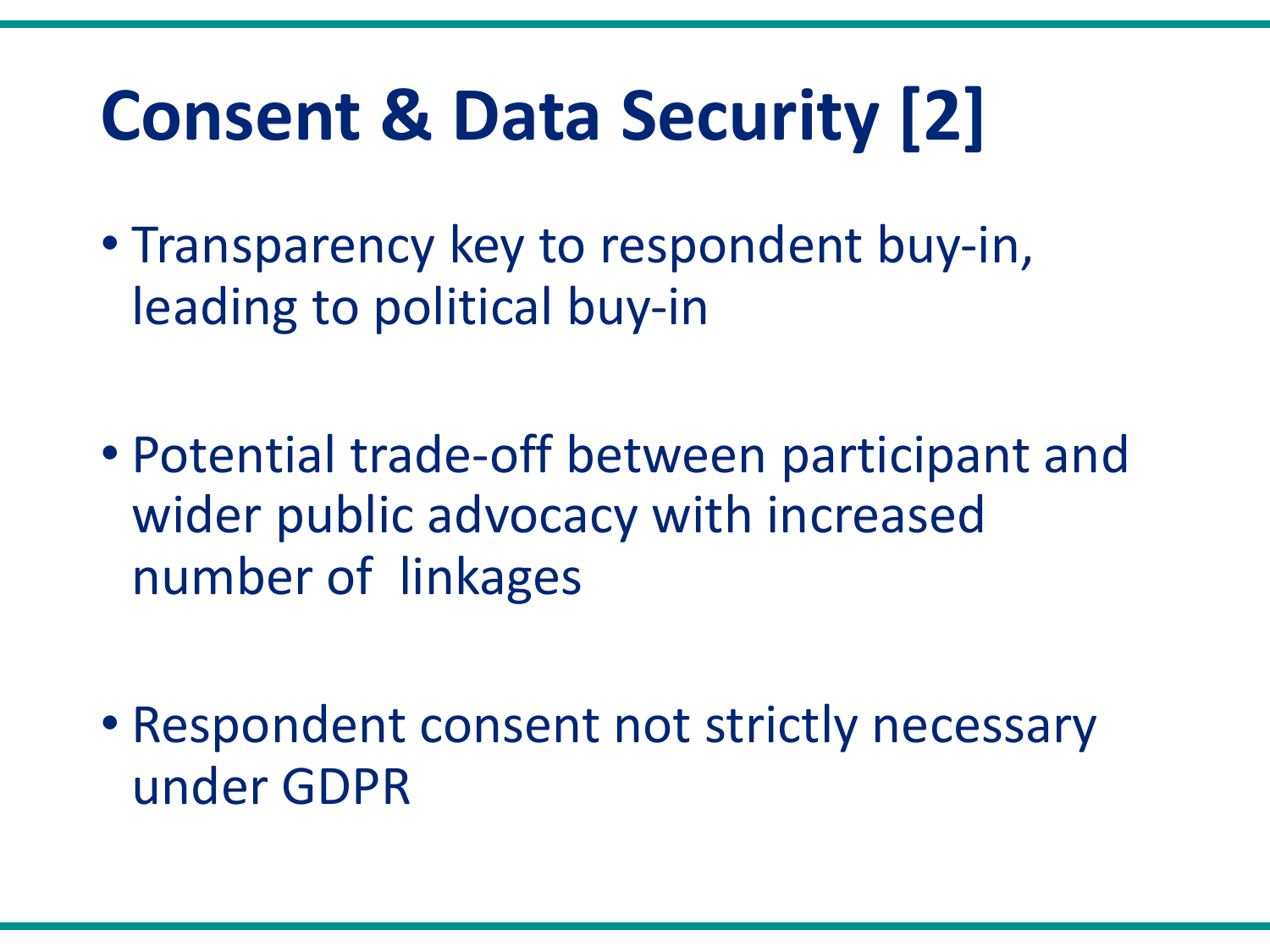# **Consent & Data Security [2]**

- Transparency key to respondent buy-in, leading to political buy-in
- Potential trade-off between participant and wider public advocacy with increased number of linkages
- Respondent consent not strictly necessary under GDPR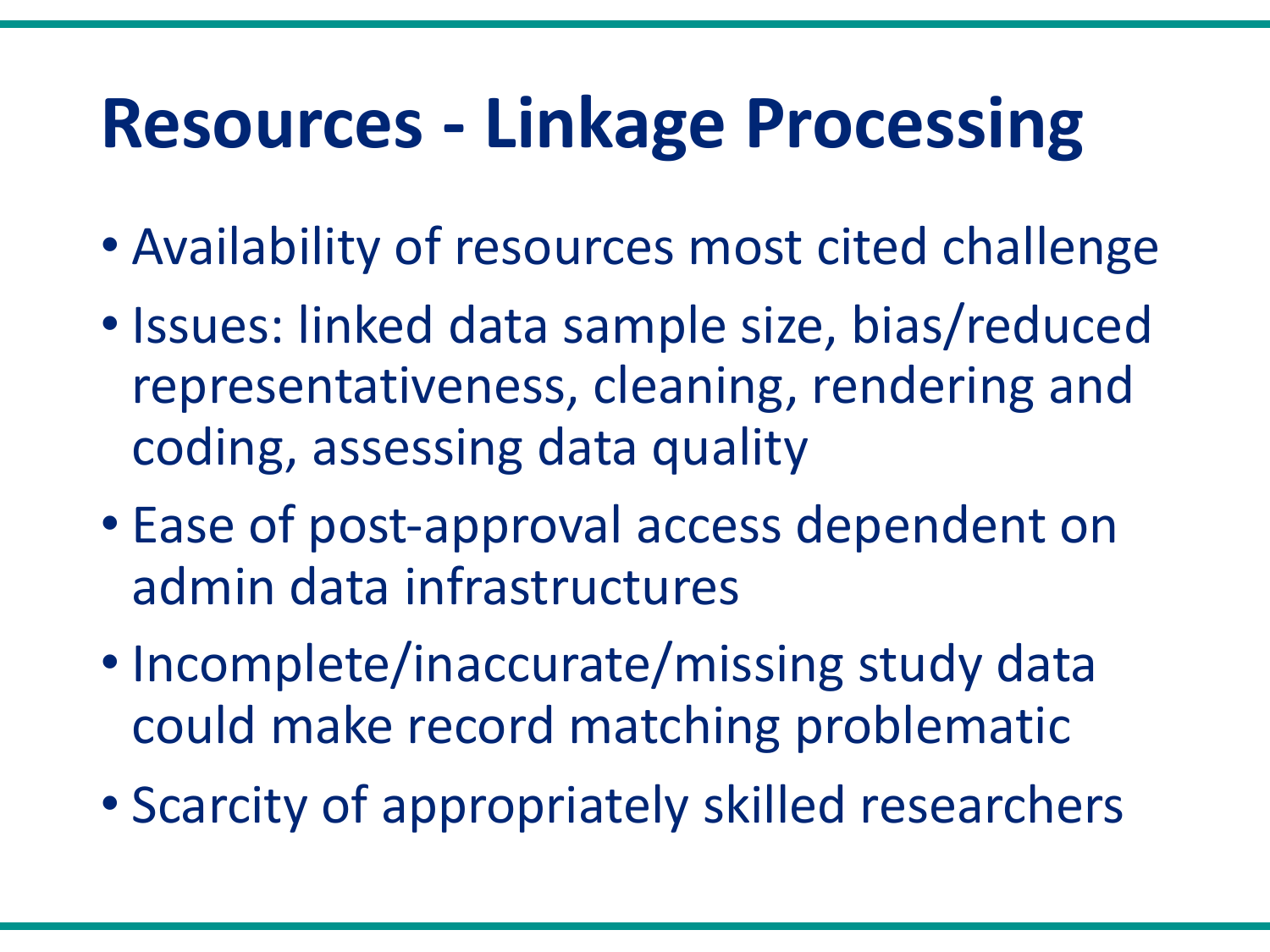#### **Resources - Linkage Processing**

- Availability of resources most cited challenge
- Issues: linked data sample size, bias/reduced representativeness, cleaning, rendering and coding, assessing data quality
- Ease of post-approval access dependent on admin data infrastructures
- Incomplete/inaccurate/missing study data could make record matching problematic
- Scarcity of appropriately skilled researchers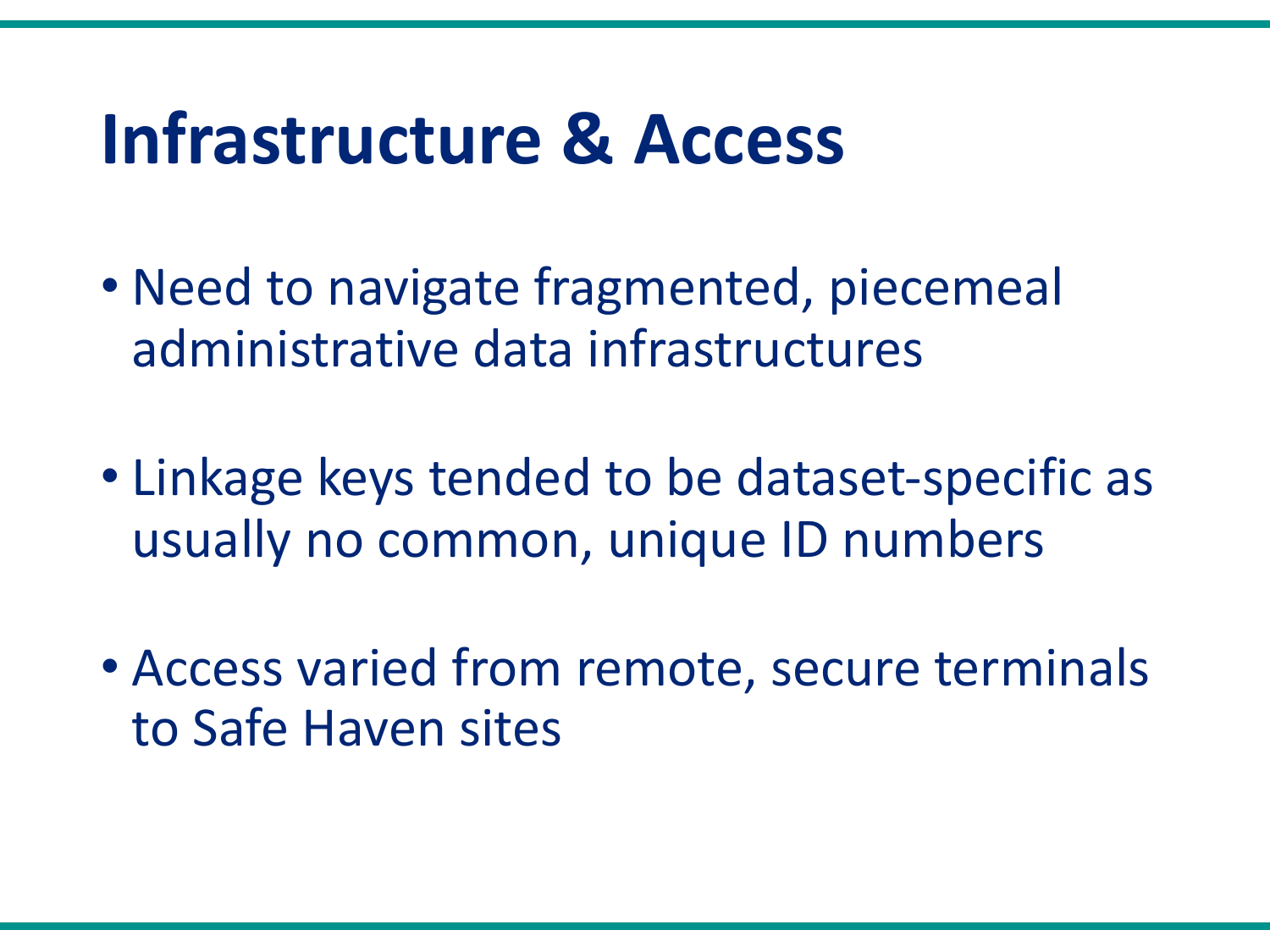#### **Infrastructure & Access**

- Need to navigate fragmented, piecemeal administrative data infrastructures
- Linkage keys tended to be dataset-specific as usually no common, unique ID numbers
- Access varied from remote, secure terminals to Safe Haven sites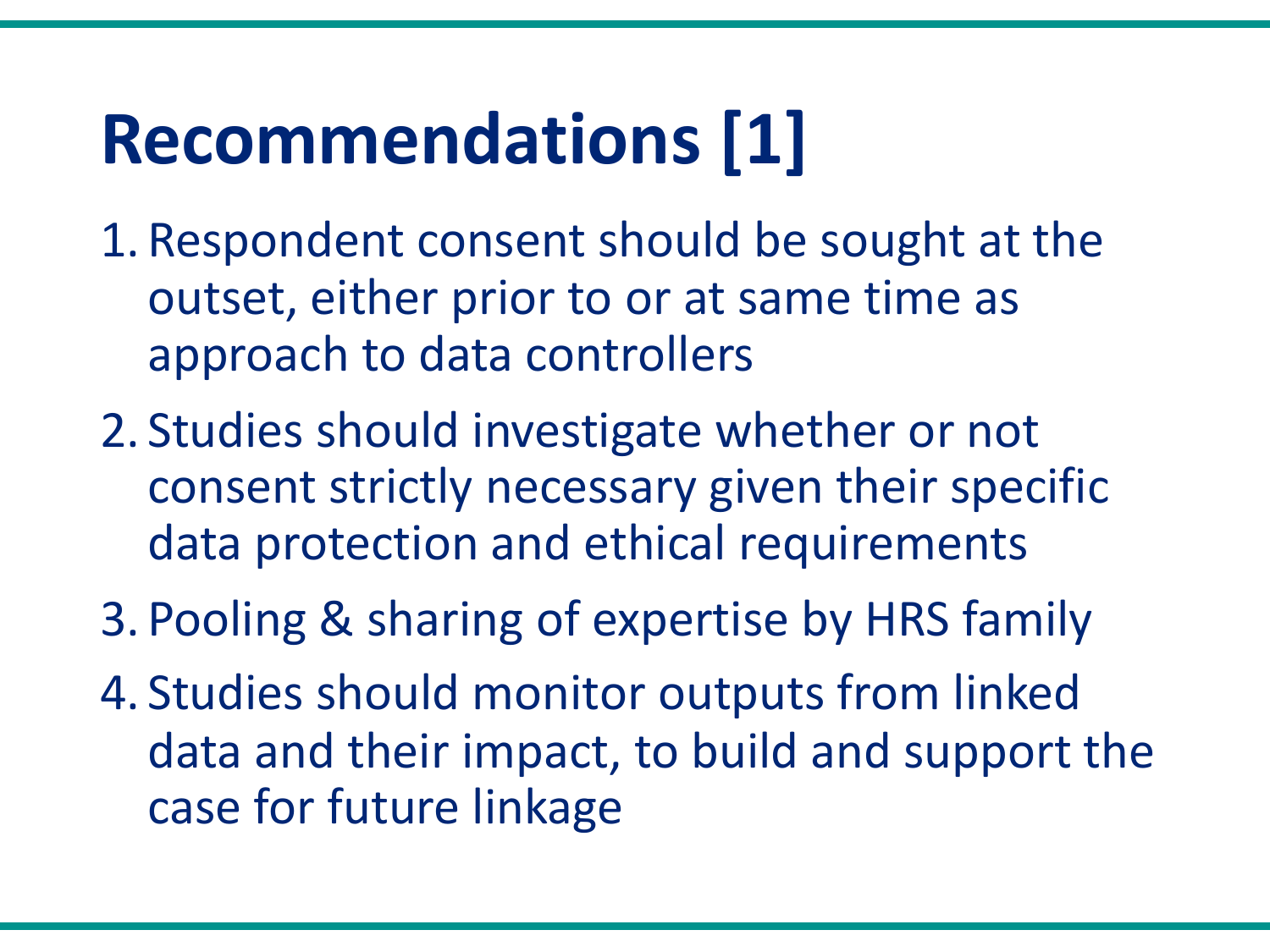### **Recommendations [1]**

- 1. Respondent consent should be sought at the outset, either prior to or at same time as approach to data controllers
- 2. Studies should investigate whether or not consent strictly necessary given their specific data protection and ethical requirements
- 3. Pooling & sharing of expertise by HRS family
- 4. Studies should monitor outputs from linked data and their impact, to build and support the case for future linkage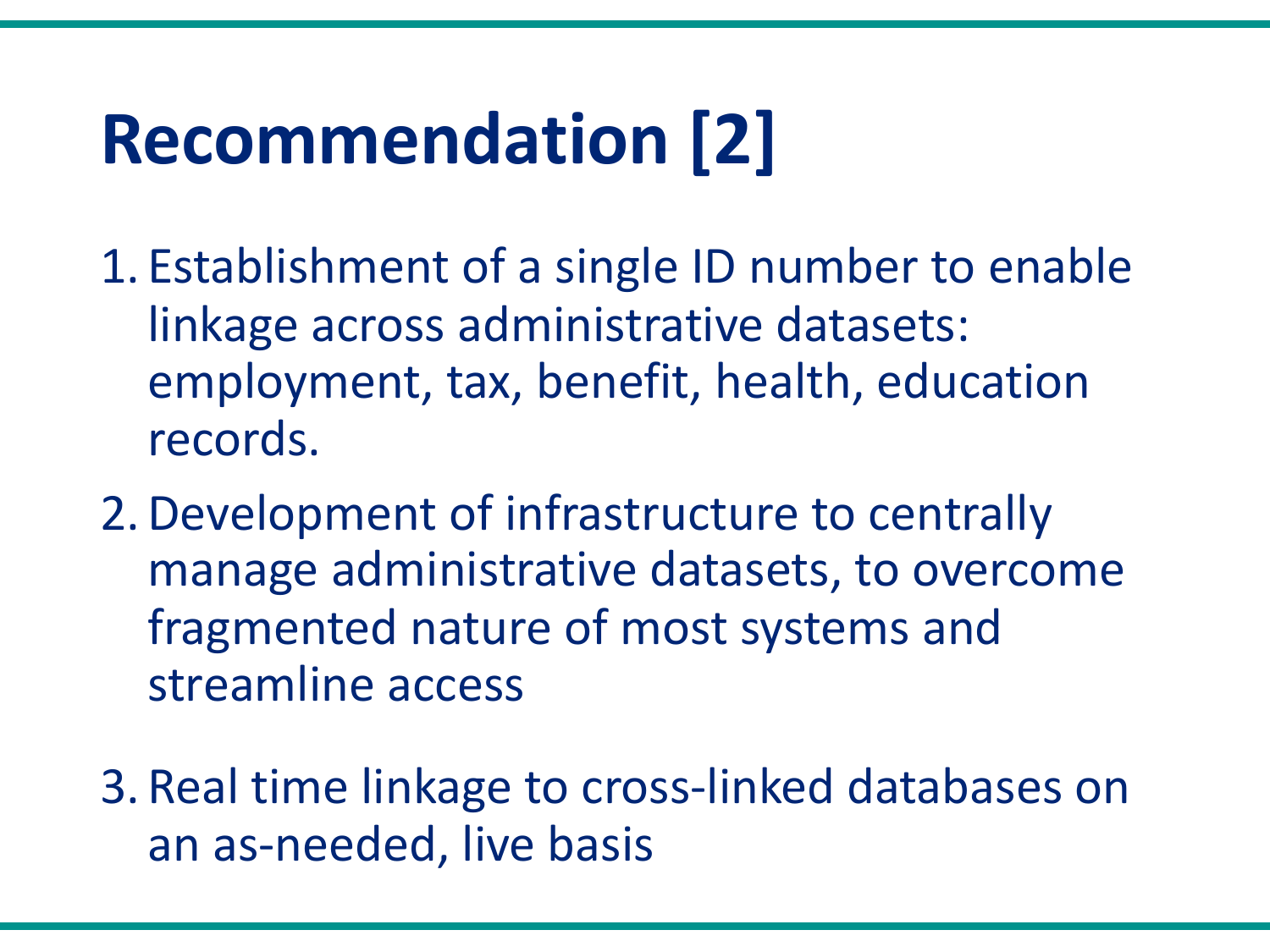## **Recommendation [2]**

- 1. Establishment of a single ID number to enable linkage across administrative datasets: employment, tax, benefit, health, education records.
- 2.Development of infrastructure to centrally manage administrative datasets, to overcome fragmented nature of most systems and streamline access
- 3. Real time linkage to cross-linked databases on an as-needed, live basis